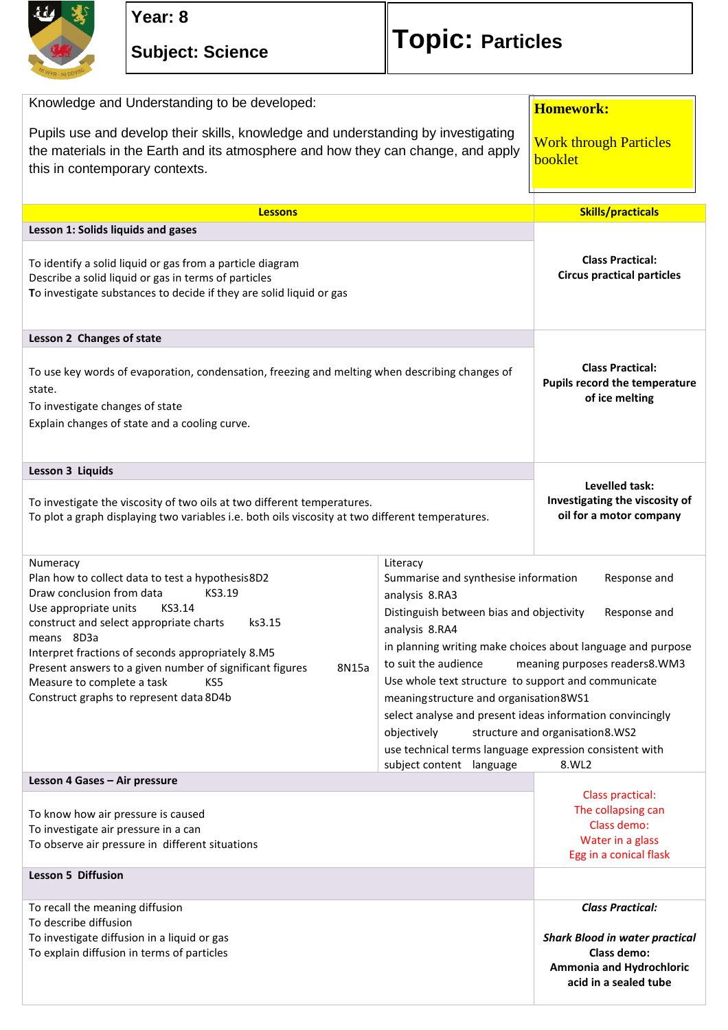

## **Subject: Science Topic: Particles**

| Knowledge and Understanding to be developed:                                                                                                                                                                                                                                                                                                                                                                        |                                                                                                                                                                                                                                                                                                                                                                                                                                                                                                                                                                                                         | <b>Homework:</b>                                                                                                                     |
|---------------------------------------------------------------------------------------------------------------------------------------------------------------------------------------------------------------------------------------------------------------------------------------------------------------------------------------------------------------------------------------------------------------------|---------------------------------------------------------------------------------------------------------------------------------------------------------------------------------------------------------------------------------------------------------------------------------------------------------------------------------------------------------------------------------------------------------------------------------------------------------------------------------------------------------------------------------------------------------------------------------------------------------|--------------------------------------------------------------------------------------------------------------------------------------|
| Pupils use and develop their skills, knowledge and understanding by investigating<br>the materials in the Earth and its atmosphere and how they can change, and apply<br>this in contemporary contexts.                                                                                                                                                                                                             |                                                                                                                                                                                                                                                                                                                                                                                                                                                                                                                                                                                                         | <b>Work through Particles</b><br>booklet                                                                                             |
| <b>Lessons</b>                                                                                                                                                                                                                                                                                                                                                                                                      |                                                                                                                                                                                                                                                                                                                                                                                                                                                                                                                                                                                                         | <b>Skills/practicals</b>                                                                                                             |
| Lesson 1: Solids liquids and gases                                                                                                                                                                                                                                                                                                                                                                                  |                                                                                                                                                                                                                                                                                                                                                                                                                                                                                                                                                                                                         |                                                                                                                                      |
| To identify a solid liquid or gas from a particle diagram<br>Describe a solid liquid or gas in terms of particles<br>To investigate substances to decide if they are solid liquid or gas                                                                                                                                                                                                                            |                                                                                                                                                                                                                                                                                                                                                                                                                                                                                                                                                                                                         | <b>Class Practical:</b><br><b>Circus practical particles</b>                                                                         |
| Lesson 2 Changes of state                                                                                                                                                                                                                                                                                                                                                                                           |                                                                                                                                                                                                                                                                                                                                                                                                                                                                                                                                                                                                         |                                                                                                                                      |
| To use key words of evaporation, condensation, freezing and melting when describing changes of<br>state.<br>To investigate changes of state<br>Explain changes of state and a cooling curve.                                                                                                                                                                                                                        |                                                                                                                                                                                                                                                                                                                                                                                                                                                                                                                                                                                                         | <b>Class Practical:</b><br>Pupils record the temperature<br>of ice melting                                                           |
| Lesson 3 Liquids                                                                                                                                                                                                                                                                                                                                                                                                    |                                                                                                                                                                                                                                                                                                                                                                                                                                                                                                                                                                                                         |                                                                                                                                      |
| To investigate the viscosity of two oils at two different temperatures.<br>To plot a graph displaying two variables i.e. both oils viscosity at two different temperatures.                                                                                                                                                                                                                                         |                                                                                                                                                                                                                                                                                                                                                                                                                                                                                                                                                                                                         | Levelled task:<br>Investigating the viscosity of<br>oil for a motor company                                                          |
| Numeracy<br>Plan how to collect data to test a hypothesis8D2<br>Draw conclusion from data<br>KS3.19<br>Use appropriate units<br>KS3.14<br>construct and select appropriate charts<br>ks3.15<br>means 8D3a<br>Interpret fractions of seconds appropriately 8.M5<br>Present answers to a given number of significant figures<br>8N15a<br>Measure to complete a task<br>KS5<br>Construct graphs to represent data 8D4b | Literacy<br>Summarise and synthesise information<br>Response and<br>analysis 8.RA3<br>Distinguish between bias and objectivity<br>Response and<br>analysis 8.RA4<br>in planning writing make choices about language and purpose<br>to suit the audience<br>meaning purposes readers8.WM3<br>Use whole text structure to support and communicate<br>meaningstructure and organisation8WS1<br>select analyse and present ideas information convincingly<br>objectively<br>structure and organisation8.WS2<br>use technical terms language expression consistent with<br>8.WL2<br>subject content language |                                                                                                                                      |
| Lesson 4 Gases - Air pressure                                                                                                                                                                                                                                                                                                                                                                                       |                                                                                                                                                                                                                                                                                                                                                                                                                                                                                                                                                                                                         |                                                                                                                                      |
| To know how air pressure is caused<br>To investigate air pressure in a can<br>To observe air pressure in different situations                                                                                                                                                                                                                                                                                       |                                                                                                                                                                                                                                                                                                                                                                                                                                                                                                                                                                                                         | Class practical:<br>The collapsing can<br>Class demo:<br>Water in a glass<br>Egg in a conical flask                                  |
| Lesson 5 Diffusion                                                                                                                                                                                                                                                                                                                                                                                                  |                                                                                                                                                                                                                                                                                                                                                                                                                                                                                                                                                                                                         |                                                                                                                                      |
| To recall the meaning diffusion<br>To describe diffusion<br>To investigate diffusion in a liquid or gas<br>To explain diffusion in terms of particles                                                                                                                                                                                                                                                               |                                                                                                                                                                                                                                                                                                                                                                                                                                                                                                                                                                                                         | <b>Class Practical:</b><br><b>Shark Blood in water practical</b><br>Class demo:<br>Ammonia and Hydrochloric<br>acid in a sealed tube |